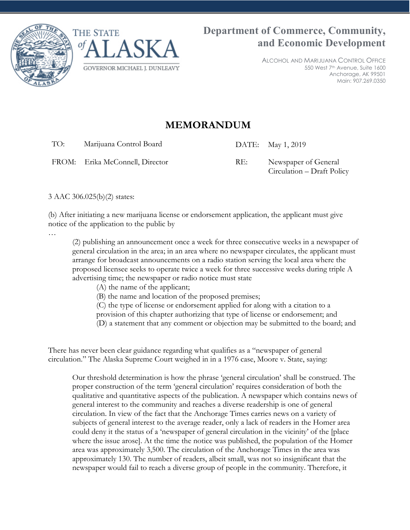



ALCOHOL AND MARIJUANA CONTROL OFFICE 550 West 7th Avenue, Suite 1600 Anchorage, AK 99501 Main: 907.269.0350

## **MEMORANDUM**

TO: Marijuana Control Board DATE: May 1, 2019

FROM: Erika McConnell, Director RE: Newspaper of General

Circulation – Draft Policy

3 AAC 306.025(b)(2) states:

(b) After initiating a new marijuana license or endorsement application, the applicant must give notice of the application to the public by

…

(2) publishing an announcement once a week for three consecutive weeks in a newspaper of general circulation in the area; in an area where no newspaper circulates, the applicant must arrange for broadcast announcements on a radio station serving the local area where the proposed licensee seeks to operate twice a week for three successive weeks during triple A advertising time; the newspaper or radio notice must state

(A) the name of the applicant;

(B) the name and location of the proposed premises;

(C) the type of license or endorsement applied for along with a citation to a

provision of this chapter authorizing that type of license or endorsement; and

(D) a statement that any comment or objection may be submitted to the board; and

There has never been clear guidance regarding what qualifies as a "newspaper of general circulation." The Alaska Supreme Court weighed in in a 1976 case, Moore v. State, saying:

Our threshold determination is how the phrase 'general circulation' shall be construed. The proper construction of the term 'general circulation' requires consideration of both the qualitative and quantitative aspects of the publication. A newspaper which contains news of general interest to the community and reaches a diverse readership is one of general circulation. In view of the fact that the Anchorage Times carries news on a variety of subjects of general interest to the average reader, only a lack of readers in the Homer area could deny it the status of a 'newspaper of general circulation in the vicinity' of the [place where the issue arose]. At the time the notice was published, the population of the Homer area was approximately 3,500. The circulation of the Anchorage Times in the area was approximately 130. The number of readers, albeit small, was not so insignificant that the newspaper would fail to reach a diverse group of people in the community. Therefore, it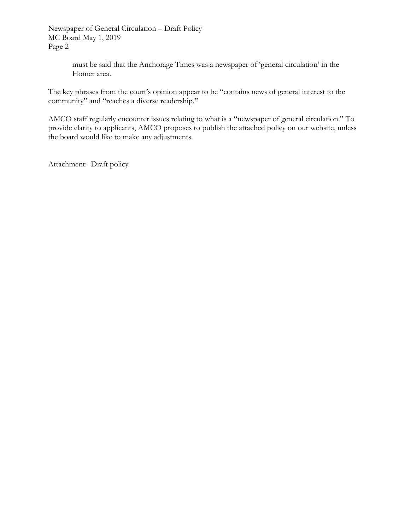Newspaper of General Circulation – Draft Policy MC Board May 1, 2019 Page 2

> must be said that the Anchorage Times was a newspaper of 'general circulation' in the Homer area.

The key phrases from the court's opinion appear to be "contains news of general interest to the community" and "reaches a diverse readership."

AMCO staff regularly encounter issues relating to what is a "newspaper of general circulation." To provide clarity to applicants, AMCO proposes to publish the attached policy on our website, unless the board would like to make any adjustments.

Attachment: Draft policy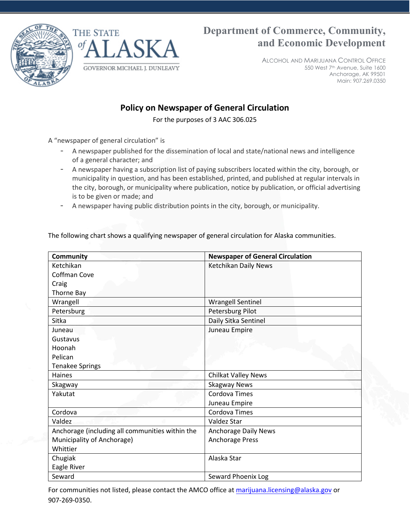



## **Department of Commerce, Community, and Economic Development**

ALCOHOL AND MARIJUANA CONTROL OFFICE 550 West 7th Avenue, Suite 1600 Anchorage, AK 99501 Main: 907.269.0350

## **Policy on Newspaper of General Circulation**

For the purposes of 3 AAC 306.025

A "newspaper of general circulation" is

- A newspaper published for the dissemination of local and state/national news and intelligence of a general character; and
- A newspaper having a subscription list of paying subscribers located within the city, borough, or municipality in question, and has been established, printed, and published at regular intervals in the city, borough, or municipality where publication, notice by publication, or official advertising is to be given or made; and
- A newspaper having public distribution points in the city, borough, or municipality.

The following chart shows a qualifying newspaper of general circulation for Alaska communities.

| <b>Community</b>                                | <b>Newspaper of General Circulation</b> |
|-------------------------------------------------|-----------------------------------------|
| Ketchikan                                       | Ketchikan Daily News                    |
| <b>Coffman Cove</b>                             |                                         |
| Craig                                           |                                         |
| Thorne Bay                                      |                                         |
| Wrangell                                        | <b>Wrangell Sentinel</b>                |
| Petersburg                                      | Petersburg Pilot                        |
| Sitka                                           | Daily Sitka Sentinel                    |
| Juneau                                          | Juneau Empire                           |
| Gustavus                                        |                                         |
| Hoonah                                          |                                         |
| Pelican                                         |                                         |
| <b>Tenakee Springs</b>                          |                                         |
| Haines                                          | Chilkat Valley News                     |
| Skagway                                         | <b>Skagway News</b>                     |
| Yakutat                                         | Cordova Times                           |
|                                                 | Juneau Empire                           |
| Cordova                                         | Cordova Times                           |
| Valdez                                          | Valdez Star                             |
| Anchorage (including all communities within the | <b>Anchorage Daily News</b>             |
| Municipality of Anchorage)                      | <b>Anchorage Press</b>                  |
| Whittier                                        |                                         |
| Chugiak                                         | Alaska Star                             |
| Eagle River                                     |                                         |
| Seward                                          | Seward Phoenix Log                      |

For communities not listed, please contact the AMCO office at marijuana[.licensing@alaska.gov](mailto:alcohol.licensing@alaska.gov) or 907-269-0350.